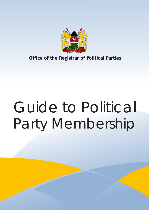

**Office of the Registrar of Political Parties**

# Party Membership Guide to Political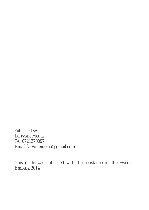Published By: Larryone Media Tel: 0721370097 Email: laryonemedia@gmail.com

This guide was published with the assistance of the Swedish Embass, 2014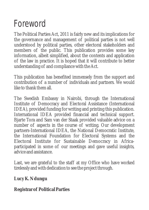### Foreword

The Political Parties Act, 2011 is fairly new and its implications for the governance and management of political parties is not well understood by political parties, other electoral stakeholders and members of the public. This publication provides some key information, albeit simplified, about the contents and application of the law in practice. It is hoped that it will contribute to better understanding of and compliance with the Act.

This publication has benefited immensely from the support and contribution of a number of individuals and partners. We would like to thank them all.

The Swedish Embassy in Nairobi, through the International Institute of Democracy and Electoral Assistance (International IDEA), provided funding for writing and printing this publication. International IDEA provided financial and technical support. Bjarte Tora and Sam van der Staak provided valuable advice on a number of aspects in the course of writing. Our development partners-International IDEA, the National Democratic Institute, the International Foundation for Electoral Systems and the Electoral Institute for Sustainable Democracy in Africaparticipated in some of our meetings and gave useful insights, advice and assistance.

Last, we are grateful to the staff at my Office who have worked tirelessly and with dedication to see the project through.

**Lucy K. Ndungu**

**Registrar of Political Parties**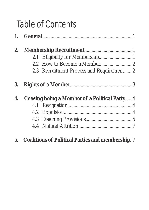## Table of Contents

| 2. |                                              |                                          |  |
|----|----------------------------------------------|------------------------------------------|--|
|    |                                              | 2.1 Eligibility for Membership1          |  |
|    |                                              |                                          |  |
|    |                                              | 2.3 Recruitment Process and Requirement2 |  |
| 3. |                                              |                                          |  |
| 4. | Ceasing being a Member of a Political Party4 |                                          |  |
|    |                                              |                                          |  |
|    |                                              |                                          |  |
|    |                                              |                                          |  |
|    |                                              |                                          |  |
|    |                                              |                                          |  |

**5. Coalitions of Political Parties and membership**..7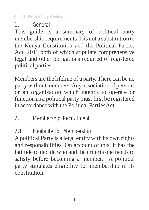1. General

This guide is a summary of political party membership requirements.It is not a substitution to the Kenya Constitution and the Political Parties Act, 2011 both of which stipulate comprehensive legal and other obligations required of registered political parties.

Members are the lifeline of a party. There can be no party without members. Any association of persons or an organization which intends to operate or function as a political party must first be registered in accordance with the Political Parties Act.

- 2. Membership Recruitment
- 2.1 Eligibility for Membership

Apolitical Party is a legal entity with its own rights and responsibilities. On account of this, it has the latitude to decide who and the criteria one needs to satisfy before becoming a member. A political party stipulates eligibility for membership in its constitution.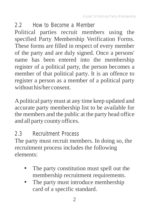#### 2.2 How to Become a Member Political parties recruit members using the specified Party Membership Verification Forms. These forms are filled in respect of every member of the party and are duly signed. Once a persons' name has been entered into the membership register of a political party, the person becomes a member of that political party. It is an offence to register a person as a member of a political party without his/her consent.

Apolitical party must at any time keep updated and accurate party membership list to be available for the members and the public at the party head office and all party county offices.

#### 2.3 Recruitment Process

The party must recruit members. In doing so, the recruitment process includes the following elements:

- The party constitution must spell out the membership recruitment requirements.
- The party must introduce membership card of a specific standard.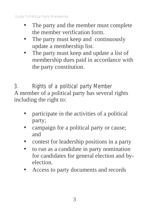- The party and the member must complete the member verification form.
- The party must keep and continuously update a membership list.
- The party must keep and update a list of membership dues paid in accordance with the party constitution.

3. Rights of a political party Member A member of a political party has several rights including the right to:

- participate in the activities of a political party;
- campaign for a political party or cause; and
- contest for leadership positions in a party
- to run as a candidate in party nomination for candidates for general election and byelection.
- Access to party documents and records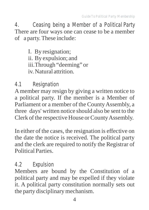4. Ceasing being a Member of a Political Party There are four ways one can cease to be a member of a party. These include:

I. By resignation;

- ii. By expulsion; and
- iii.Through "deeming" or

iv. Natural attrition.

#### 4.1 Resignation

Amember may resign by giving a written notice to a political party. If the member is a Member of Parliament or a member of the County Assembly, a three days' written notice should also be sent to the Clerk of the respective House or County Assembly.

In either of the cases, the resignation is effective on the date the notice is received. The political party and the clerk are required to notify the Registrar of Political Parties.

#### 4.2 Expulsion

Members are bound by the Constitution of a political party and may be expelled if they violate it. A political party constitution normally sets out the party disciplinary mechanism.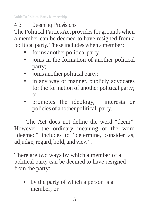4.3 Deeming Provisions

The Political Parties Act provides for grounds when a member can be deemed to have resigned from a political party. These includes when a member:

- forms another political party;
- joins in the formation of another political party;
- joins another political party;
- in any way or manner, publicly advocates for the formation of another political party; or
- promotes the ideology, interests or policies of another political party.

The Act does not define the word "deem". However, the ordinary meaning of the word "deemed" includes to "determine, consider as, adjudge, regard, hold, and view".

There are two ways by which a member of a political party can be deemed to have resigned from the party:

• by the party of which a person is a member; or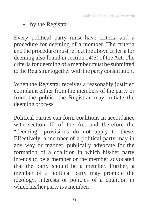• by the Registrar.

Every political party must have criteria and a procedure for deeming of a member. The criteria and the procedure must reflect the above criteria for deeming also found in section 14(5) of the Act. The criteria for deeming of a member must be submitted to the Registrar together with the party constitution.

When the Registrar receives a reasonably justified complaint either from the members of the party or from the public, the Registrar may initiate the deeming process.

Political parties can form coalitions in accordance with section 10 of the Act and therefore the "deeming" provisions do not apply to these. Effectively, a member of a political party may in any way or manner, publically advocate for the formation of a coalition in which his/her party intends to be a member or the member advocated that the party should be a member. Further, a member of a political party may promote the ideology, interests or policies of a coalition in which his/her party is a member.

6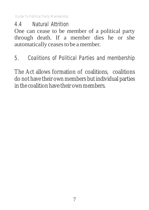4.4 Natural Attrition

One can cease to be member of a political party through death. If a member dies he or she automatically ceases to be a member.

5. Coalitions of Political Parties and membership

The Act allows formation of coalitions, coalitions do not have their own members but individual parties in the coalition have their own members.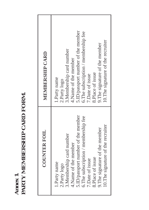|   | AND EQU |
|---|---------|
|   | Ë       |
|   | "Libdr  |
|   | ים<br>י |
|   | ŕ       |
|   | .<br>F  |
| i | Ξ<br>ć  |
| ï |         |

| <b>COUNTER FOIL</b>                  | <b>MEMBERSHIP CARD</b>               |
|--------------------------------------|--------------------------------------|
| 5. ID/passport number of the member  | 5.ID/passport number of the member   |
| 6. The subscription / membership fee | 6. The subscription / membership fee |
| 10. The signature of the recruiter   | 10. The signature of the recruiter   |
| 9. The signature of the member       | 9. The signature of the member       |
| 3. Membership card number            | 3. Membership card number            |
| 4.Name of the member                 | 4. Name of the member                |
| 8.Place of issue                     | 8.Place of issue                     |
| 7.Date of issue                      | 7.Date of issue                      |
| 1.Party name                         | 1.Party name                         |
| 2.Party logo                         | 2.Party logo                         |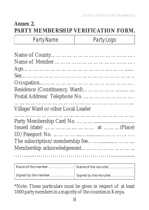#### **Annex 2. PARTY MEMBERSHIP VERIFICATION FORM.**

Party Name Party Logo

| Village/Ward or other Local Leader |  |  |  |  |
|------------------------------------|--|--|--|--|
|                                    |  |  |  |  |
|                                    |  |  |  |  |
|                                    |  |  |  |  |
|                                    |  |  |  |  |
|                                    |  |  |  |  |
|                                    |  |  |  |  |
|                                    |  |  |  |  |
|                                    |  |  |  |  |

\*Note: These particulars must be given in respect of at least 1000 party members in a majority of the counties in Kenya.